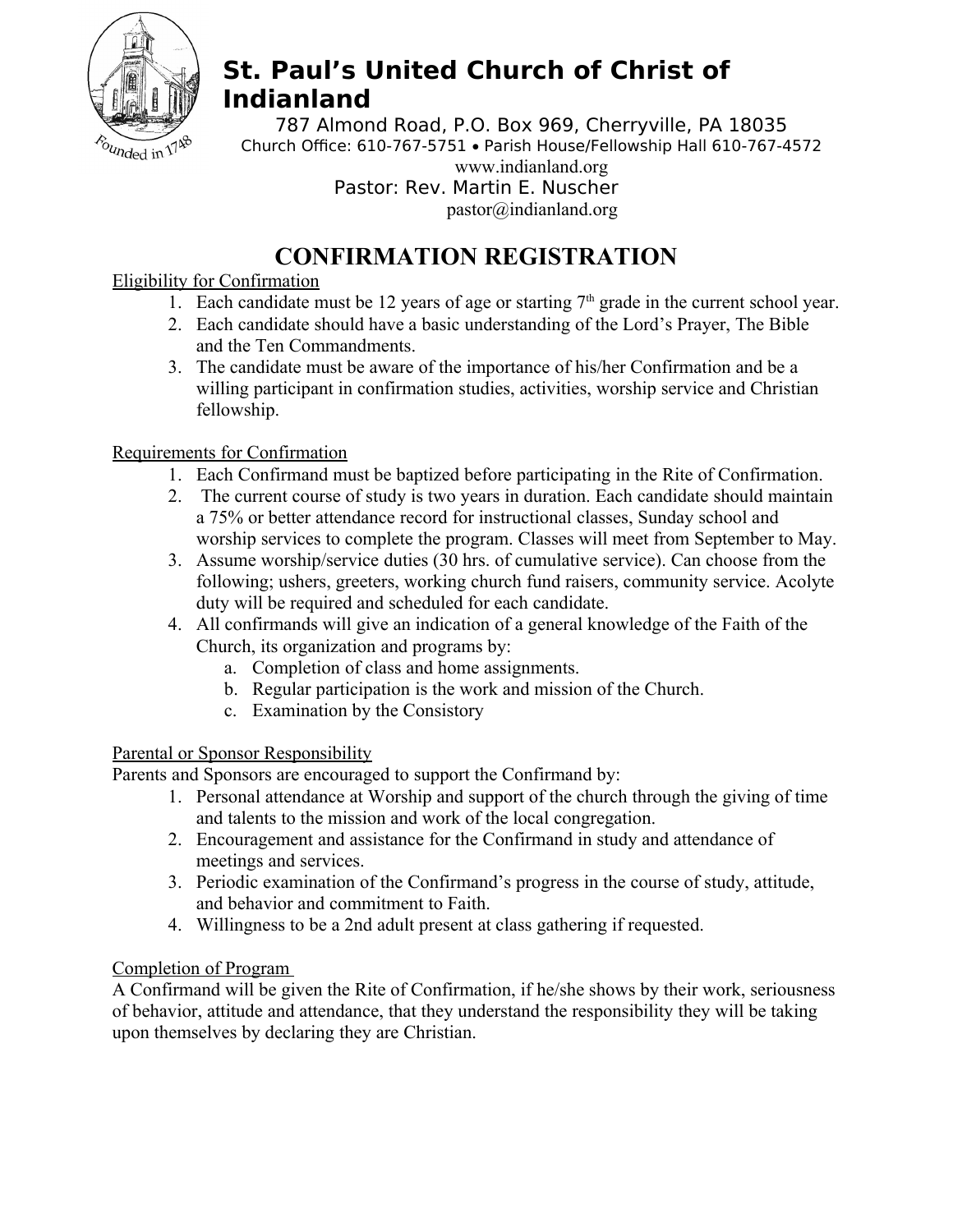

# **St. Paul's United Church of Christ of Indianland**

787 Almond Road, P.O. Box 969, Cherryville, PA 18035 Church Office: 610-767-5751 . Parish House/Fellowship Hall 610-767-4572 www.indianland.org Pastor: Rev. Martin E. Nuscher pastor@indianland.org

## **CONFIRMATION REGISTRATION**

#### Eligibility for Confirmation

- 1. Each candidate must be 12 years of age or starting  $7<sup>th</sup>$  grade in the current school year.
- 2. Each candidate should have a basic understanding of the Lord's Prayer, The Bible and the Ten Commandments.
- 3. The candidate must be aware of the importance of his/her Confirmation and be a willing participant in confirmation studies, activities, worship service and Christian fellowship.

### Requirements for Confirmation

- 1. Each Confirmand must be baptized before participating in the Rite of Confirmation.
- 2. The current course of study is two years in duration. Each candidate should maintain a 75% or better attendance record for instructional classes, Sunday school and worship services to complete the program. Classes will meet from September to May.
- 3. Assume worship/service duties (30 hrs. of cumulative service). Can choose from the following; ushers, greeters, working church fund raisers, community service. Acolyte duty will be required and scheduled for each candidate.
- 4. All confirmands will give an indication of a general knowledge of the Faith of the Church, its organization and programs by:
	- a. Completion of class and home assignments.
	- b. Regular participation is the work and mission of the Church.
	- c. Examination by the Consistory

#### Parental or Sponsor Responsibility

Parents and Sponsors are encouraged to support the Confirmand by:

- 1. Personal attendance at Worship and support of the church through the giving of time and talents to the mission and work of the local congregation.
- 2. Encouragement and assistance for the Confirmand in study and attendance of meetings and services.
- 3. Periodic examination of the Confirmand's progress in the course of study, attitude, and behavior and commitment to Faith.
- 4. Willingness to be a 2nd adult present at class gathering if requested.

#### Completion of Program

A Confirmand will be given the Rite of Confirmation, if he/she shows by their work, seriousness of behavior, attitude and attendance, that they understand the responsibility they will be taking upon themselves by declaring they are Christian.